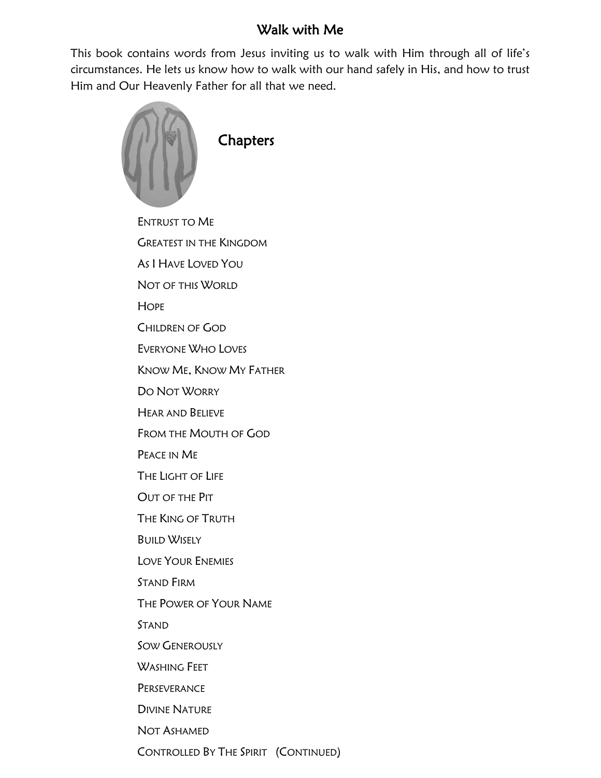## Walk with Me

This book contains words from Jesus inviting us to walk with Him through all of life's circumstances. He lets us know how to walk with our hand safely in His, and how to trust Him and Our Heavenly Father for all that we need.



CONTROLLED BY THE SPIRIT (CONTINUED)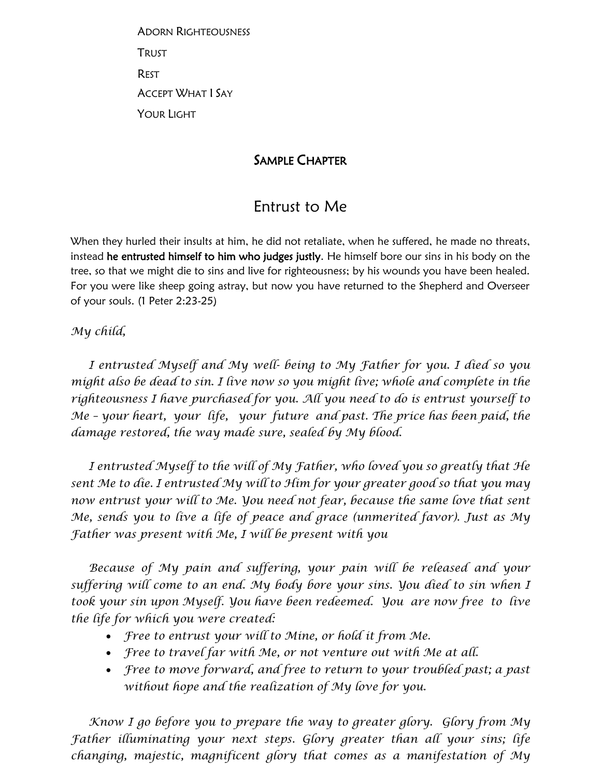ADORN RIGHTEOUSNESS TRUST REST ACCEPT WHAT I SAY YOUR LIGHT

## SAMPLE CHAPTER

## Entrust to Me

When they hurled their insults at him, he did not retaliate, when he suffered, he made no threats, instead he entrusted himself to him who judges justly. He himself bore our sins in his body on the tree, so that we might die to sins and live for righteousness; by his wounds you have been healed. For you were like sheep going astray, but now you have returned to the Shepherd and Overseer of your souls. (1 Peter 2:23-25)

*My child,*

 *I entrusted Myself and My well- being to My Father for you. I died so you might also be dead to sin. I live now so you might live; whole and complete in the righteousness I have purchased for you. All you need to do is entrust yourself to Me – your heart, your life, your future and past. The price has been paid, the damage restored, the way made sure, sealed by My blood.*

 *I entrusted Myself to the will of My Father, who loved you so greatly that He sent Me to die. I entrusted My will to Him for your greater good so that you may now entrust your will to Me. You need not fear, because the same love that sent Me, sends you to live a life of peace and grace (unmerited favor). Just as My Father was present with Me, I will be present with you*

 *Because of My pain and suffering, your pain will be released and your suffering will come to an end. My body bore your sins. You died to sin when I took your sin upon Myself. You have been redeemed. You are now free to live the life for which you were created:*

- *Free to entrust your will to Mine, or hold it from Me.*
- *Free to travel far with Me, or not venture out with Me at all.*
- *Free to move forward, and free to return to your troubled past; a past without hope and the realization of My love for you.*

 *Know I go before you to prepare the way to greater glory. Glory from My Father illuminating your next steps. Glory greater than all your sins; life changing, majestic, magnificent glory that comes as a manifestation of My*